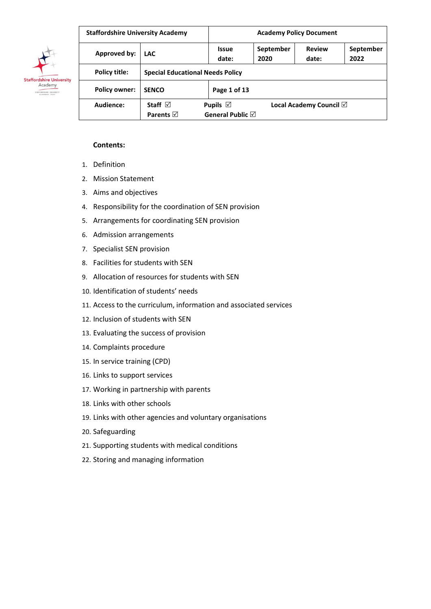

| <b>Staffordshire University Academy</b> |                                          |                                        | <b>Academy Policy Document</b> |                                   |                   |  |  |
|-----------------------------------------|------------------------------------------|----------------------------------------|--------------------------------|-----------------------------------|-------------------|--|--|
| Approved by:                            | <b>LAC</b>                               | <b>Issue</b><br>date:                  | September<br>2020              | <b>Review</b><br>date:            | September<br>2022 |  |  |
| Policy title:                           | <b>Special Educational Needs Policy</b>  |                                        |                                |                                   |                   |  |  |
| <b>Policy owner:</b>                    | <b>SENCO</b>                             | Page 1 of 13                           |                                |                                   |                   |  |  |
| Audience:                               | Staff $\boxtimes$<br>Parents $\boxtimes$ | Pupils $\boxtimes$<br>General Public ⊠ |                                | Local Academy Council $\boxtimes$ |                   |  |  |

#### **Contents:**

- 1. Definition
- 2. Mission Statement
- 3. Aims and objectives
- 4. Responsibility for the coordination of SEN provision
- 5. Arrangements for coordinating SEN provision
- 6. Admission arrangements
- 7. Specialist SEN provision
- 8. Facilities for students with SEN
- 9. Allocation of resources for students with SEN
- 10. Identification of students' needs
- 11. Access to the curriculum, information and associated services
- 12. Inclusion of students with SEN
- 13. Evaluating the success of provision
- 14. Complaints procedure
- 15. In service training (CPD)
- 16. Links to support services
- 17. Working in partnership with parents
- 18. Links with other schools
- 19. Links with other agencies and voluntary organisations
- 20. Safeguarding
- 21. Supporting students with medical conditions
- 22. Storing and managing information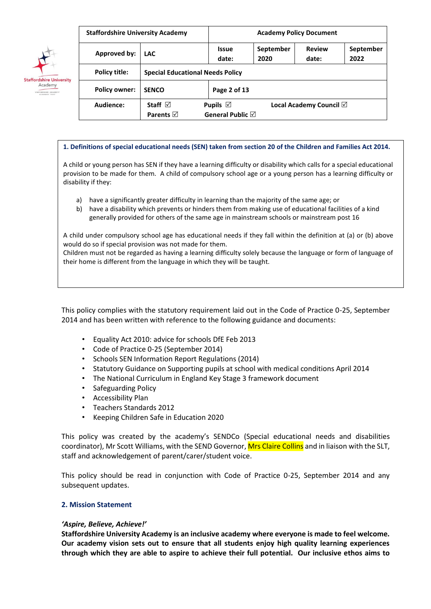

| <b>Staffordshire University Academy</b> |                                          |                                                  | <b>Academy Policy Document</b> |                                   |                   |  |  |
|-----------------------------------------|------------------------------------------|--------------------------------------------------|--------------------------------|-----------------------------------|-------------------|--|--|
| Approved by:                            | <b>LAC</b>                               | <b>Issue</b><br>date:                            | September<br>2020              | <b>Review</b><br>date:            | September<br>2022 |  |  |
| Policy title:                           | <b>Special Educational Needs Policy</b>  |                                                  |                                |                                   |                   |  |  |
| <b>Policy owner:</b>                    | <b>SENCO</b>                             | Page 2 of 13                                     |                                |                                   |                   |  |  |
| Audience:                               | Staff $\boxtimes$<br>Parents $\boxtimes$ | Pupils $\boxtimes$<br>General Public $\boxtimes$ |                                | Local Academy Council $\boxtimes$ |                   |  |  |

#### **1. Definitions of special educational needs (SEN) taken from section 20 of the Children and Families Act 2014.**

A child or young person has SEN if they have a learning difficulty or disability which calls for a special educational provision to be made for them. A child of compulsory school age or a young person has a learning difficulty or disability if they:

- a) have a significantly greater difficulty in learning than the majority of the same age; or
- b) have a disability which prevents or hinders them from making use of educational facilities of a kind generally provided for others of the same age in mainstream schools or mainstream post 16

A child under compulsory school age has educational needs if they fall within the definition at (a) or (b) above would do so if special provision was not made for them.

Children must not be regarded as having a learning difficulty solely because the language or form of language of their home is different from the language in which they will be taught.

This policy complies with the statutory requirement laid out in the Code of Practice 0-25, September 2014 and has been written with reference to the following guidance and documents:

- Equality Act 2010: advice for schools DfE Feb 2013
- Code of Practice 0-25 (September 2014)
- Schools SEN Information Report Regulations (2014)
- Statutory Guidance on Supporting pupils at school with medical conditions April 2014
- The National Curriculum in England Key Stage 3 framework document
- Safeguarding Policy
- Accessibility Plan
- Teachers Standards 2012
- Keeping Children Safe in Education 2020

This policy was created by the academy's SENDCo (Special educational needs and disabilities coordinator), Mr Scott Williams, with the SEND Governor, Mrs Claire Collins and in liaison with the SLT, staff and acknowledgement of parent/carer/student voice.

This policy should be read in conjunction with Code of Practice 0-25, September 2014 and any subsequent updates.

### **2. Mission Statement**

### *'Aspire, Believe, Achieve!'*

**Staffordshire University Academy is an inclusive academy where everyone is made to feel welcome. Our academy vision sets out to ensure that all students enjoy high quality learning experiences through which they are able to aspire to achieve their full potential. Our inclusive ethos aims to**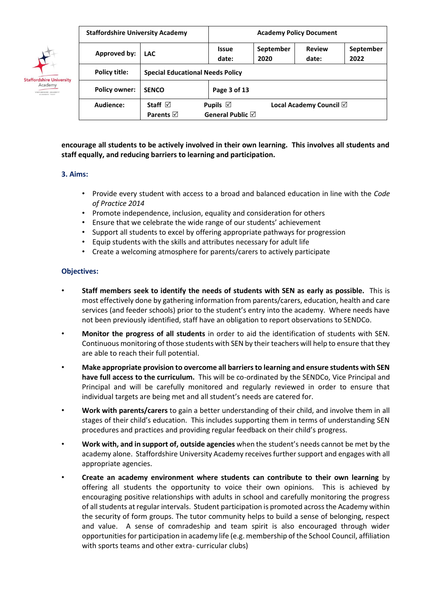

| <b>Staffordshire University Academy</b> |                                         | <b>Academy Policy Document</b>                                                            |  |                                   |  |  |
|-----------------------------------------|-----------------------------------------|-------------------------------------------------------------------------------------------|--|-----------------------------------|--|--|
| Approved by:                            | <b>LAC</b>                              | <b>Review</b><br>September<br>September<br><b>Issue</b><br>date:<br>date:<br>2020<br>2022 |  |                                   |  |  |
| Policy title:                           | <b>Special Educational Needs Policy</b> |                                                                                           |  |                                   |  |  |
| <b>Policy owner:</b>                    | <b>SENCO</b>                            | Page 3 of 13                                                                              |  |                                   |  |  |
| Audience:                               | Staff $\boxdot$                         | Pupils $\boxtimes$                                                                        |  | Local Academy Council $\boxtimes$ |  |  |
|                                         | Parents $\boxtimes$                     | General Public $\boxtimes$                                                                |  |                                   |  |  |

**encourage all students to be actively involved in their own learning. This involves all students and staff equally, and reducing barriers to learning and participation.** 

### **3. Aims:**

- Provide every student with access to a broad and balanced education in line with the *Code of Practice 2014*
- Promote independence, inclusion, equality and consideration for others
- Ensure that we celebrate the wide range of our students' achievement
- Support all students to excel by offering appropriate pathways for progression
- Equip students with the skills and attributes necessary for adult life
- Create a welcoming atmosphere for parents/carers to actively participate

## **Objectives:**

- **Staff members seek to identify the needs of students with SEN as early as possible.** This is most effectively done by gathering information from parents/carers, education, health and care services (and feeder schools) prior to the student's entry into the academy. Where needs have not been previously identified, staff have an obligation to report observations to SENDCo.
- **Monitor the progress of all students** in order to aid the identification of students with SEN. Continuous monitoring of those students with SEN by their teachers will help to ensure that they are able to reach their full potential.
- **Make appropriate provision to overcome all barriers to learning and ensure students with SEN have full access to the curriculum.** This will be co-ordinated by the SENDCo, Vice Principal and Principal and will be carefully monitored and regularly reviewed in order to ensure that individual targets are being met and all student's needs are catered for.
- **Work with parents/carers** to gain a better understanding of their child, and involve them in all stages of their child's education. This includes supporting them in terms of understanding SEN procedures and practices and providing regular feedback on their child's progress.
- **Work with, and in support of, outside agencies** when the student's needs cannot be met by the academy alone. Staffordshire University Academy receives further support and engages with all appropriate agencies.
- **Create an academy environment where students can contribute to their own learning** by offering all students the opportunity to voice their own opinions. This is achieved by encouraging positive relationships with adults in school and carefully monitoring the progress of all students at regular intervals. Student participation is promoted across the Academy within the security of form groups. The tutor community helps to build a sense of belonging, respect and value. A sense of comradeship and team spirit is also encouraged through wider opportunities for participation in academy life (e.g. membership of the School Council, affiliation with sports teams and other extra- curricular clubs)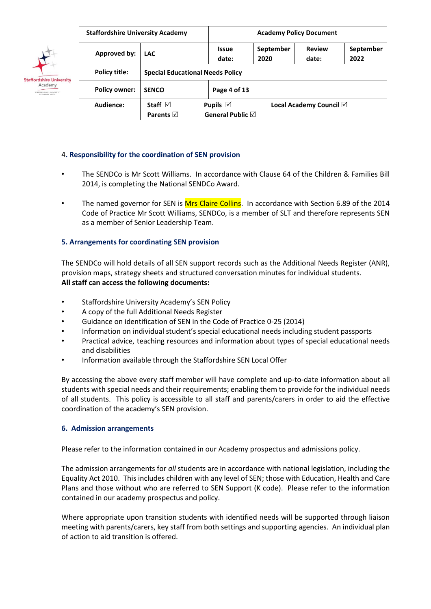

|                      | <b>Staffordshire University Academy</b>  |                                                                                           | <b>Academy Policy Document</b> |                                   |  |  |  |
|----------------------|------------------------------------------|-------------------------------------------------------------------------------------------|--------------------------------|-----------------------------------|--|--|--|
| Approved by:         | <b>LAC</b>                               | <b>Review</b><br>September<br>September<br><b>Issue</b><br>2020<br>date:<br>date:<br>2022 |                                |                                   |  |  |  |
| Policy title:        | <b>Special Educational Needs Policy</b>  |                                                                                           |                                |                                   |  |  |  |
| <b>Policy owner:</b> | <b>SENCO</b>                             | Page 4 of 13                                                                              |                                |                                   |  |  |  |
| Audience:            | Staff $\boxtimes$<br>Parents $\boxtimes$ | Pupils $\boxtimes$<br>General Public $\boxtimes$                                          |                                | Local Academy Council $\boxtimes$ |  |  |  |

## 4**. Responsibility for the coordination of SEN provision**

- The SENDCo is Mr Scott Williams. In accordance with Clause 64 of the Children & Families Bill 2014, is completing the National SENDCo Award.
- The named governor for SEN is Mrs Claire Collins. In accordance with Section 6.89 of the 2014 Code of Practice Mr Scott Williams, SENDCo, is a member of SLT and therefore represents SEN as a member of Senior Leadership Team.

### **5. Arrangements for coordinating SEN provision**

The SENDCo will hold details of all SEN support records such as the Additional Needs Register (ANR), provision maps, strategy sheets and structured conversation minutes for individual students. **All staff can access the following documents:** 

- Staffordshire University Academy's SEN Policy
- A copy of the full Additional Needs Register
- Guidance on identification of SEN in the Code of Practice 0-25 (2014)
- Information on individual student's special educational needs including student passports
- Practical advice, teaching resources and information about types of special educational needs and disabilities
- Information available through the Staffordshire SEN Local Offer

By accessing the above every staff member will have complete and up-to-date information about all students with special needs and their requirements; enabling them to provide for the individual needs of all students. This policy is accessible to all staff and parents/carers in order to aid the effective coordination of the academy's SEN provision.

### **6. Admission arrangements**

Please refer to the information contained in our Academy prospectus and admissions policy.

The admission arrangements for *all* students are in accordance with national legislation, including the Equality Act 2010. This includes children with any level of SEN; those with Education, Health and Care Plans and those without who are referred to SEN Support (K code). Please refer to the information contained in our academy prospectus and policy.

Where appropriate upon transition students with identified needs will be supported through liaison meeting with parents/carers, key staff from both settings and supporting agencies. An individual plan of action to aid transition is offered.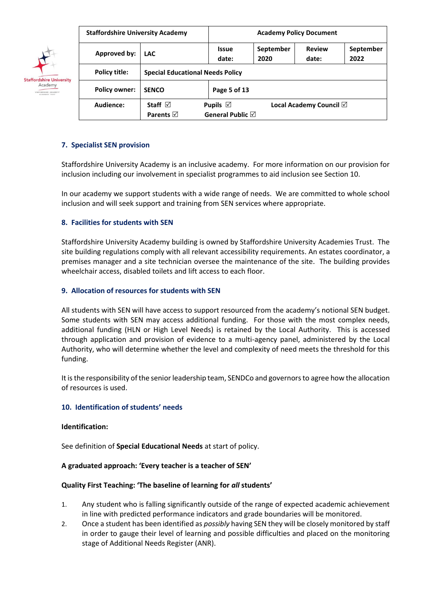

| <b>Staffordshire University Academy</b> |                                          | <b>Academy Policy Document</b>                   |                   |                                   |  |  |
|-----------------------------------------|------------------------------------------|--------------------------------------------------|-------------------|-----------------------------------|--|--|
| Approved by:                            | <b>LAC</b>                               | <b>Issue</b><br>date:                            | September<br>2022 |                                   |  |  |
| Policy title:                           | <b>Special Educational Needs Policy</b>  |                                                  |                   |                                   |  |  |
| <b>Policy owner:</b>                    | <b>SENCO</b>                             | Page 5 of 13                                     |                   |                                   |  |  |
| Audience:                               | Staff $\boxtimes$<br>Parents $\boxtimes$ | Pupils $\boxtimes$<br>General Public $\boxtimes$ |                   | Local Academy Council $\boxtimes$ |  |  |

## **7. Specialist SEN provision**

Staffordshire University Academy is an inclusive academy. For more information on our provision for inclusion including our involvement in specialist programmes to aid inclusion see Section 10.

In our academy we support students with a wide range of needs. We are committed to whole school inclusion and will seek support and training from SEN services where appropriate.

## **8. Facilities for students with SEN**

Staffordshire University Academy building is owned by Staffordshire University Academies Trust. The site building regulations comply with all relevant accessibility requirements. An estates coordinator, a premises manager and a site technician oversee the maintenance of the site. The building provides wheelchair access, disabled toilets and lift access to each floor.

## **9. Allocation of resources for students with SEN**

All students with SEN will have access to support resourced from the academy's notional SEN budget. Some students with SEN may access additional funding. For those with the most complex needs, additional funding (HLN or High Level Needs) is retained by the Local Authority. This is accessed through application and provision of evidence to a multi-agency panel, administered by the Local Authority, who will determine whether the level and complexity of need meets the threshold for this funding.

It is the responsibility of the senior leadership team, SENDCo and governors to agree how the allocation of resources is used.

### **10. Identification of students' needs**

### **Identification:**

See definition of **Special Educational Needs** at start of policy.

### **A graduated approach: 'Every teacher is a teacher of SEN'**

### **Quality First Teaching: 'The baseline of learning for** *all* **students'**

- 1. Any student who is falling significantly outside of the range of expected academic achievement in line with predicted performance indicators and grade boundaries will be monitored.
- 2. Once a student has been identified as *possibly* having SEN they will be closely monitored by staff in order to gauge their level of learning and possible difficulties and placed on the monitoring stage of Additional Needs Register (ANR).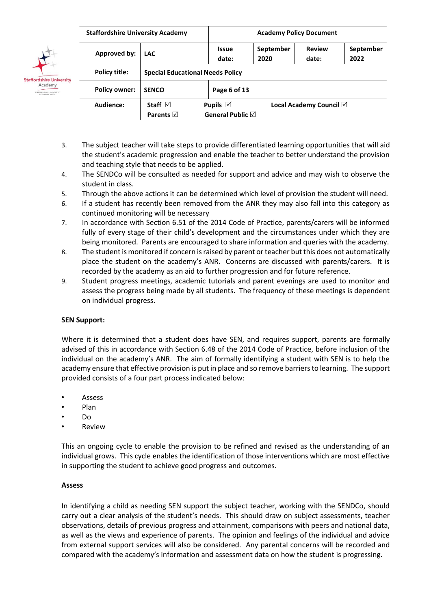

| <b>Staffordshire University Academy</b> |                                         | <b>Academy Policy Document</b>                                                            |  |                                   |  |  |  |
|-----------------------------------------|-----------------------------------------|-------------------------------------------------------------------------------------------|--|-----------------------------------|--|--|--|
| Approved by:                            | <b>LAC</b>                              | September<br><b>Review</b><br>September<br><b>Issue</b><br>2020<br>date:<br>date:<br>2022 |  |                                   |  |  |  |
| Policy title:                           | <b>Special Educational Needs Policy</b> |                                                                                           |  |                                   |  |  |  |
| <b>Policy owner:</b>                    | <b>SENCO</b>                            | Page 6 of 13                                                                              |  |                                   |  |  |  |
| Audience:                               | Staff $\boxtimes$                       | Pupils $\boxtimes$                                                                        |  | Local Academy Council $\boxtimes$ |  |  |  |
|                                         | Parents $\boxtimes$                     | General Public $\boxtimes$                                                                |  |                                   |  |  |  |

- 3. The subject teacher will take steps to provide differentiated learning opportunities that will aid the student's academic progression and enable the teacher to better understand the provision and teaching style that needs to be applied.
- 4. The SENDCo will be consulted as needed for support and advice and may wish to observe the student in class.
- 5. Through the above actions it can be determined which level of provision the student will need.
- 6. If a student has recently been removed from the ANR they may also fall into this category as continued monitoring will be necessary
- 7. In accordance with Section 6.51 of the 2014 Code of Practice, parents/carers will be informed fully of every stage of their child's development and the circumstances under which they are being monitored. Parents are encouraged to share information and queries with the academy.
- 8. The student is monitored if concern is raised by parent or teacher but this does not automatically place the student on the academy's ANR. Concerns are discussed with parents/carers. It is recorded by the academy as an aid to further progression and for future reference.
- 9. Student progress meetings, academic tutorials and parent evenings are used to monitor and assess the progress being made by all students. The frequency of these meetings is dependent on individual progress.

# **SEN Support:**

Where it is determined that a student does have SEN, and requires support, parents are formally advised of this in accordance with Section 6.48 of the 2014 Code of Practice, before inclusion of the individual on the academy's ANR. The aim of formally identifying a student with SEN is to help the academy ensure that effective provision is put in place and so remove barriers to learning. The support provided consists of a four part process indicated below:

- **Assess**
- Plan
- Do
- Review

This an ongoing cycle to enable the provision to be refined and revised as the understanding of an individual grows. This cycle enables the identification of those interventions which are most effective in supporting the student to achieve good progress and outcomes.

### **Assess**

In identifying a child as needing SEN support the subject teacher, working with the SENDCo, should carry out a clear analysis of the student's needs. This should draw on subject assessments, teacher observations, details of previous progress and attainment, comparisons with peers and national data, as well as the views and experience of parents. The opinion and feelings of the individual and advice from external support services will also be considered. Any parental concerns will be recorded and compared with the academy's information and assessment data on how the student is progressing.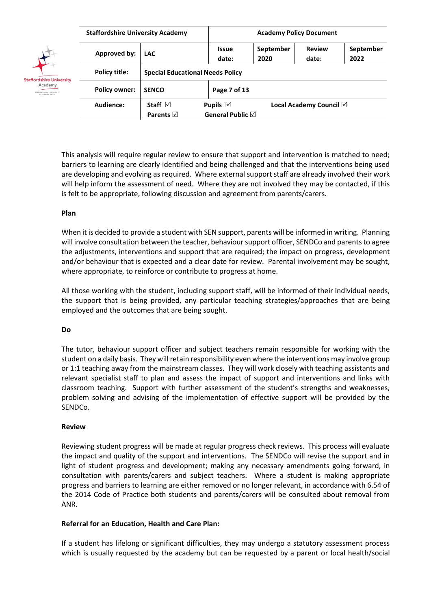|                                            | <b>Staffordshire University Academy</b> |                                          | <b>Academy Policy Document</b>                                                        |                   |                        |                   |  |
|--------------------------------------------|-----------------------------------------|------------------------------------------|---------------------------------------------------------------------------------------|-------------------|------------------------|-------------------|--|
| <b>Staffordshire University</b><br>Academy | Approved by:                            | <b>LAC</b>                               | <b>Issue</b><br>date:                                                                 | September<br>2020 | <b>Review</b><br>date: | September<br>2022 |  |
|                                            | Policy title:                           | <b>Special Educational Needs Policy</b>  |                                                                                       |                   |                        |                   |  |
|                                            | <b>Policy owner:</b>                    | <b>SENCO</b>                             | Page 7 of 13                                                                          |                   |                        |                   |  |
|                                            | Audience:                               | Staff $\boxtimes$<br>Parents $\boxtimes$ | Pupils $\boxtimes$<br>Local Academy Council $\boxtimes$<br>General Public $\boxtimes$ |                   |                        |                   |  |

This analysis will require regular review to ensure that support and intervention is matched to need; barriers to learning are clearly identified and being challenged and that the interventions being used are developing and evolving as required. Where external support staff are already involved their work will help inform the assessment of need. Where they are not involved they may be contacted, if this is felt to be appropriate, following discussion and agreement from parents/carers.

## **Plan**

When it is decided to provide a student with SEN support, parents will be informed in writing. Planning will involve consultation between the teacher, behaviour support officer, SENDCo and parents to agree the adjustments, interventions and support that are required; the impact on progress, development and/or behaviour that is expected and a clear date for review. Parental involvement may be sought, where appropriate, to reinforce or contribute to progress at home.

All those working with the student, including support staff, will be informed of their individual needs, the support that is being provided, any particular teaching strategies/approaches that are being employed and the outcomes that are being sought.

# **Do**

The tutor, behaviour support officer and subject teachers remain responsible for working with the student on a daily basis. They will retain responsibility even where the interventions may involve group or 1:1 teaching away from the mainstream classes. They will work closely with teaching assistants and relevant specialist staff to plan and assess the impact of support and interventions and links with classroom teaching. Support with further assessment of the student's strengths and weaknesses, problem solving and advising of the implementation of effective support will be provided by the SENDCo.

### **Review**

Reviewing student progress will be made at regular progress check reviews. This process will evaluate the impact and quality of the support and interventions. The SENDCo will revise the support and in light of student progress and development; making any necessary amendments going forward, in consultation with parents/carers and subject teachers. Where a student is making appropriate progress and barriers to learning are either removed or no longer relevant, in accordance with 6.54 of the 2014 Code of Practice both students and parents/carers will be consulted about removal from ANR.

# **Referral for an Education, Health and Care Plan:**

If a student has lifelong or significant difficulties, they may undergo a statutory assessment process which is usually requested by the academy but can be requested by a parent or local health/social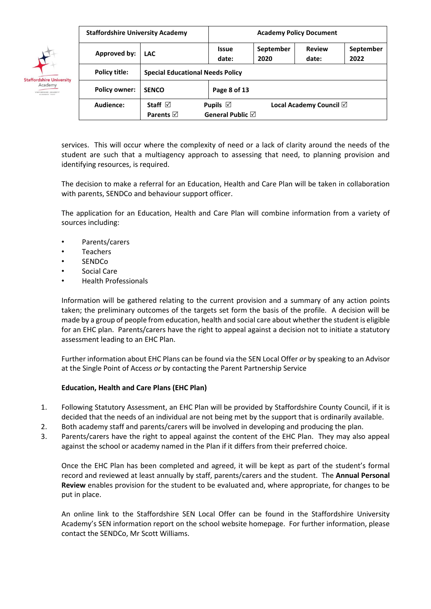|                                            | <b>Staffordshire University Academy</b> |                                         | <b>Academy Policy Document</b>                                              |                   |                        |                   |  |  |
|--------------------------------------------|-----------------------------------------|-----------------------------------------|-----------------------------------------------------------------------------|-------------------|------------------------|-------------------|--|--|
|                                            | Approved by:                            | <b>LAC</b>                              | <b>Issue</b><br>date:                                                       | September<br>2020 | <b>Review</b><br>date: | September<br>2022 |  |  |
|                                            | Policy title:                           | <b>Special Educational Needs Policy</b> |                                                                             |                   |                        |                   |  |  |
| <b>Staffordshire University</b><br>Academy | <b>Policy owner:</b>                    | <b>SENCO</b>                            | Page 8 of 13                                                                |                   |                        |                   |  |  |
|                                            | Audience:                               | Staff $\boxdot$<br>Parents $\boxtimes$  | Pupils $\boxtimes$<br>Local Academy Council $\boxtimes$<br>General Public ⊠ |                   |                        |                   |  |  |

services. This will occur where the complexity of need or a lack of clarity around the needs of the student are such that a multiagency approach to assessing that need, to planning provision and identifying resources, is required.

The decision to make a referral for an Education, Health and Care Plan will be taken in collaboration with parents, SENDCo and behaviour support officer.

The application for an Education, Health and Care Plan will combine information from a variety of sources including:

- Parents/carers
- **Teachers**
- SENDCo
- Social Care
- Health Professionals

Information will be gathered relating to the current provision and a summary of any action points taken; the preliminary outcomes of the targets set form the basis of the profile. A decision will be made by a group of people from education, health and social care about whether the student is eligible for an EHC plan. Parents/carers have the right to appeal against a decision not to initiate a statutory assessment leading to an EHC Plan.

Further information about EHC Plans can be found via the SEN Local Offer *or* by speaking to an Advisor at the Single Point of Access *or* by contacting the Parent Partnership Service

### **Education, Health and Care Plans (EHC Plan)**

- 1. Following Statutory Assessment, an EHC Plan will be provided by Staffordshire County Council, if it is decided that the needs of an individual are not being met by the support that is ordinarily available.
- 2. Both academy staff and parents/carers will be involved in developing and producing the plan.
- 3. Parents/carers have the right to appeal against the content of the EHC Plan. They may also appeal against the school or academy named in the Plan if it differs from their preferred choice.

Once the EHC Plan has been completed and agreed, it will be kept as part of the student's formal record and reviewed at least annually by staff, parents/carers and the student. The **Annual Personal Review** enables provision for the student to be evaluated and, where appropriate, for changes to be put in place.

An online link to the Staffordshire SEN Local Offer can be found in the Staffordshire University Academy's SEN information report on the school website homepage. For further information, please contact the SENDCo, Mr Scott Williams.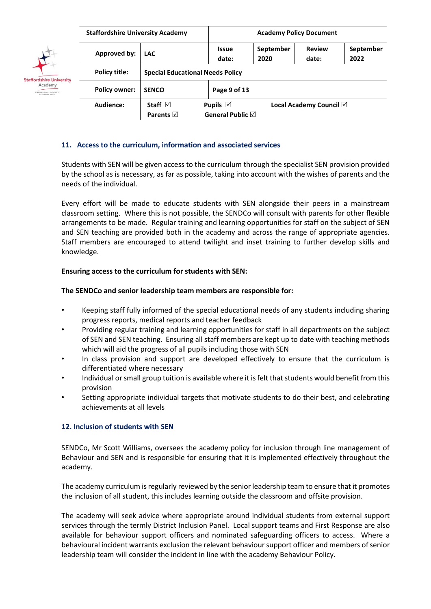

|                      | <b>Staffordshire University Academy</b> |                            | <b>Academy Policy Document</b> |                                   |  |  |  |
|----------------------|-----------------------------------------|----------------------------|--------------------------------|-----------------------------------|--|--|--|
| Approved by:         | <b>LAC</b>                              | <b>Issue</b><br>date:      | September<br>2022              |                                   |  |  |  |
| Policy title:        | <b>Special Educational Needs Policy</b> |                            |                                |                                   |  |  |  |
| <b>Policy owner:</b> | <b>SENCO</b>                            | Page 9 of 13               |                                |                                   |  |  |  |
| Audience:            | Staff $\boxdot$                         | Pupils $\boxtimes$         |                                | Local Academy Council $\boxtimes$ |  |  |  |
|                      | Parents $\boxtimes$                     | General Public $\boxtimes$ |                                |                                   |  |  |  |

## **11. Access to the curriculum, information and associated services**

Students with SEN will be given access to the curriculum through the specialist SEN provision provided by the school as is necessary, as far as possible, taking into account with the wishes of parents and the needs of the individual.

Every effort will be made to educate students with SEN alongside their peers in a mainstream classroom setting. Where this is not possible, the SENDCo will consult with parents for other flexible arrangements to be made. Regular training and learning opportunities for staff on the subject of SEN and SEN teaching are provided both in the academy and across the range of appropriate agencies. Staff members are encouraged to attend twilight and inset training to further develop skills and knowledge.

## **Ensuring access to the curriculum for students with SEN:**

## **The SENDCo and senior leadership team members are responsible for:**

- Keeping staff fully informed of the special educational needs of any students including sharing progress reports, medical reports and teacher feedback
- Providing regular training and learning opportunities for staff in all departments on the subject of SEN and SEN teaching. Ensuring all staff members are kept up to date with teaching methods which will aid the progress of all pupils including those with SEN
- In class provision and support are developed effectively to ensure that the curriculum is differentiated where necessary
- Individual or small group tuition is available where it is felt that students would benefit from this provision
- Setting appropriate individual targets that motivate students to do their best, and celebrating achievements at all levels

### **12. Inclusion of students with SEN**

SENDCo, Mr Scott Williams, oversees the academy policy for inclusion through line management of Behaviour and SEN and is responsible for ensuring that it is implemented effectively throughout the academy.

The academy curriculum is regularly reviewed by the senior leadership team to ensure that it promotes the inclusion of all student, this includes learning outside the classroom and offsite provision.

The academy will seek advice where appropriate around individual students from external support services through the termly District Inclusion Panel.Local support teams and First Response are also available for behaviour support officers and nominated safeguarding officers to access. Where a behavioural incident warrants exclusion the relevant behaviour support officer and members of senior leadership team will consider the incident in line with the academy Behaviour Policy.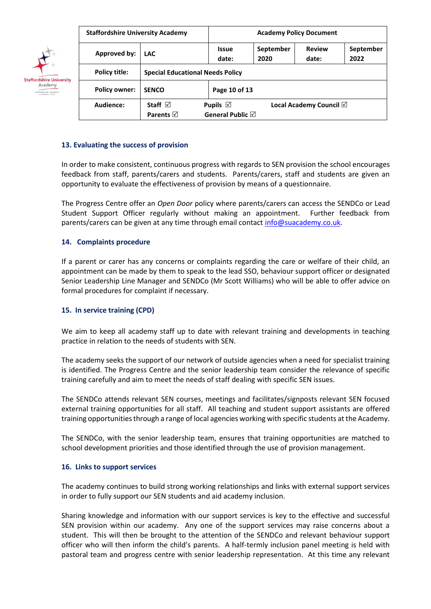

| <b>Staffordshire University Academy</b> |                     |                                                                                           | <b>Academy Policy Document</b> |  |  |  |  |
|-----------------------------------------|---------------------|-------------------------------------------------------------------------------------------|--------------------------------|--|--|--|--|
| Approved by:                            | <b>LAC</b>          | <b>Review</b><br>September<br>September<br><b>Issue</b><br>2020<br>date:<br>2022<br>date: |                                |  |  |  |  |
| Policy title:                           |                     | <b>Special Educational Needs Policy</b>                                                   |                                |  |  |  |  |
| <b>Policy owner:</b>                    | <b>SENCO</b>        | Page 10 of 13                                                                             |                                |  |  |  |  |
| Audience:                               | Staff $\boxdot$     | Pupils $\boxtimes$<br>Local Academy Council $\boxtimes$                                   |                                |  |  |  |  |
|                                         | Parents $\boxtimes$ | General Public $\boxtimes$                                                                |                                |  |  |  |  |

## **13. Evaluating the success of provision**

In order to make consistent, continuous progress with regards to SEN provision the school encourages feedback from staff, parents/carers and students. Parents/carers, staff and students are given an opportunity to evaluate the effectiveness of provision by means of a questionnaire.

The Progress Centre offer an *Open Door* policy where parents/carers can access the SENDCo or Lead Student Support Officer regularly without making an appointment. Further feedback from parents/carers can be given at any time through email contact info@suacademy.co.uk.

## **14. Complaints procedure**

If a parent or carer has any concerns or complaints regarding the care or welfare of their child, an appointment can be made by them to speak to the lead SSO, behaviour support officer or designated Senior Leadership Line Manager and SENDCo (Mr Scott Williams) who will be able to offer advice on formal procedures for complaint if necessary.

### **15. In service training (CPD)**

We aim to keep all academy staff up to date with relevant training and developments in teaching practice in relation to the needs of students with SEN.

The academy seeks the support of our network of outside agencies when a need for specialist training is identified. The Progress Centre and the senior leadership team consider the relevance of specific training carefully and aim to meet the needs of staff dealing with specific SEN issues.

The SENDCo attends relevant SEN courses, meetings and facilitates/signposts relevant SEN focused external training opportunities for all staff. All teaching and student support assistants are offered training opportunities through a range of local agencies working with specific students at the Academy.

The SENDCo, with the senior leadership team, ensures that training opportunities are matched to school development priorities and those identified through the use of provision management.

### **16. Links to support services**

The academy continues to build strong working relationships and links with external support services in order to fully support our SEN students and aid academy inclusion.

Sharing knowledge and information with our support services is key to the effective and successful SEN provision within our academy. Any one of the support services may raise concerns about a student. This will then be brought to the attention of the SENDCo and relevant behaviour support officer who will then inform the child's parents. A half-termly inclusion panel meeting is held with pastoral team and progress centre with senior leadership representation. At this time any relevant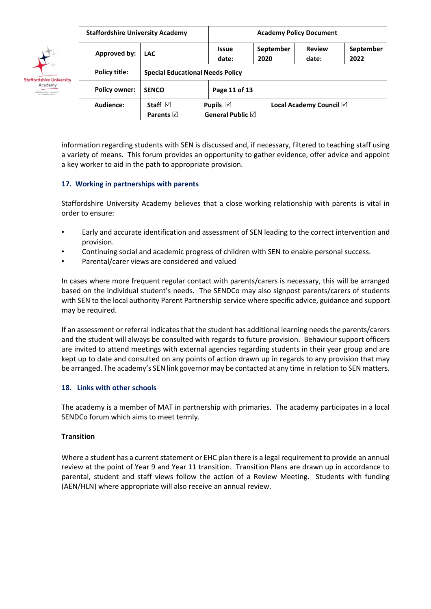

| <b>Staffordshire University Academy</b> |                                         | <b>Academy Policy Document</b>                                                            |  |  |  |  |  |
|-----------------------------------------|-----------------------------------------|-------------------------------------------------------------------------------------------|--|--|--|--|--|
| Approved by:                            | <b>LAC</b>                              | <b>Review</b><br>September<br>September<br><b>Issue</b><br>2020<br>date:<br>date:<br>2022 |  |  |  |  |  |
| Policy title:                           | <b>Special Educational Needs Policy</b> |                                                                                           |  |  |  |  |  |
| <b>Policy owner:</b>                    | <b>SENCO</b>                            | Page 11 of 13                                                                             |  |  |  |  |  |
| Audience:                               | Staff $\boxdot$                         | Pupils $\boxtimes$<br>Local Academy Council $\boxtimes$                                   |  |  |  |  |  |
|                                         | Parents $\boxtimes$                     | General Public $\boxtimes$                                                                |  |  |  |  |  |

information regarding students with SEN is discussed and, if necessary, filtered to teaching staff using a variety of means. This forum provides an opportunity to gather evidence, offer advice and appoint a key worker to aid in the path to appropriate provision.

## **17. Working in partnerships with parents**

Staffordshire University Academy believes that a close working relationship with parents is vital in order to ensure:

- Early and accurate identification and assessment of SEN leading to the correct intervention and provision.
- Continuing social and academic progress of children with SEN to enable personal success.
- Parental/carer views are considered and valued

In cases where more frequent regular contact with parents/carers is necessary, this will be arranged based on the individual student's needs. The SENDCo may also signpost parents/carers of students with SEN to the local authority Parent Partnership service where specific advice, guidance and support may be required.

If an assessment or referral indicates that the student has additional learning needs the parents/carers and the student will always be consulted with regards to future provision. Behaviour support officers are invited to attend meetings with external agencies regarding students in their year group and are kept up to date and consulted on any points of action drawn up in regards to any provision that may be arranged. The academy's SEN link governor may be contacted at any time in relation to SEN matters.

### **18. Links with other schools**

The academy is a member of MAT in partnership with primaries. The academy participates in a local SENDCo forum which aims to meet termly.

### **Transition**

Where a student has a current statement or EHC plan there is a legal requirement to provide an annual review at the point of Year 9 and Year 11 transition. Transition Plans are drawn up in accordance to parental, student and staff views follow the action of a Review Meeting. Students with funding (AEN/HLN) where appropriate will also receive an annual review.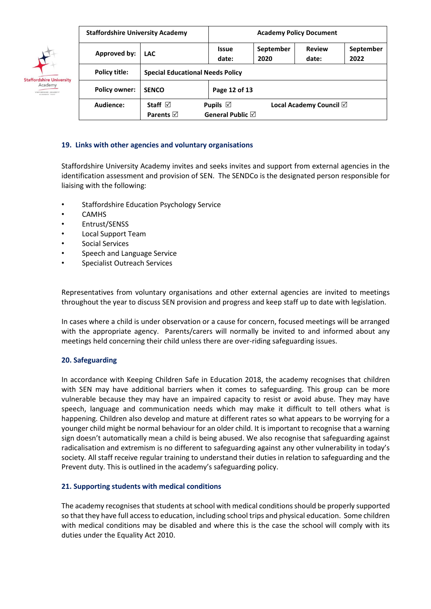

| <b>Staffordshire University Academy</b> |                                         | <b>Academy Policy Document</b>                                                     |  |                                   |  |  |  |
|-----------------------------------------|-----------------------------------------|------------------------------------------------------------------------------------|--|-----------------------------------|--|--|--|
| Approved by:                            | <b>LAC</b>                              | <b>Review</b><br>September<br>September<br>Issue<br>date:<br>2020<br>date:<br>2022 |  |                                   |  |  |  |
| Policy title:                           | <b>Special Educational Needs Policy</b> |                                                                                    |  |                                   |  |  |  |
| <b>Policy owner:</b>                    | <b>SENCO</b>                            | Page 12 of 13                                                                      |  |                                   |  |  |  |
| Audience:                               | Staff $\boxdot$                         | Pupils $\boxtimes$                                                                 |  | Local Academy Council $\boxtimes$ |  |  |  |
|                                         | Parents $\boxtimes$                     | General Public $\boxtimes$                                                         |  |                                   |  |  |  |

## **19. Links with other agencies and voluntary organisations**

Staffordshire University Academy invites and seeks invites and support from external agencies in the identification assessment and provision of SEN. The SENDCo is the designated person responsible for liaising with the following:

- Staffordshire Education Psychology Service
- CAMHS
- Entrust/SENSS
- Local Support Team
- Social Services
- Speech and Language Service
- Specialist Outreach Services

Representatives from voluntary organisations and other external agencies are invited to meetings throughout the year to discuss SEN provision and progress and keep staff up to date with legislation.

In cases where a child is under observation or a cause for concern, focused meetings will be arranged with the appropriate agency. Parents/carers will normally be invited to and informed about any meetings held concerning their child unless there are over-riding safeguarding issues.

### **20. Safeguarding**

In accordance with Keeping Children Safe in Education 2018, the academy recognises that children with SEN may have additional barriers when it comes to safeguarding. This group can be more vulnerable because they may have an impaired capacity to resist or avoid abuse. They may have speech, language and communication needs which may make it difficult to tell others what is happening. Children also develop and mature at different rates so what appears to be worrying for a younger child might be normal behaviour for an older child. It is important to recognise that a warning sign doesn't automatically mean a child is being abused. We also recognise that safeguarding against radicalisation and extremism is no different to safeguarding against any other vulnerability in today's society*.* All staff receive regular training to understand their duties in relation to safeguarding and the Prevent duty. This is outlined in the academy's safeguarding policy.

### **21. Supporting students with medical conditions**

The academy recognises that students at school with medical conditions should be properly supported so that they have full access to education, including school trips and physical education. Some children with medical conditions may be disabled and where this is the case the school will comply with its duties under the Equality Act 2010.